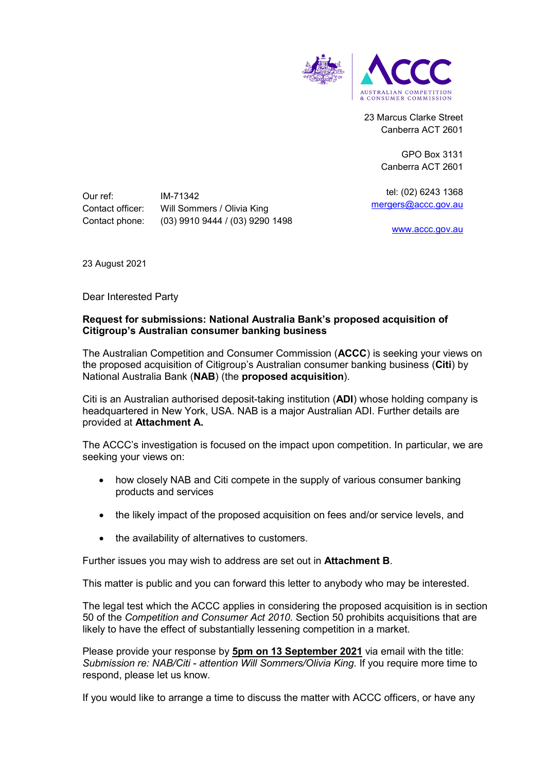

23 Marcus Clarke Street Canberra ACT 2601

> GPO Box 3131 Canberra ACT 2601

tel: (02) 6243 1368 [mergers@accc.gov.au](mailto:mergers@accc.gov.au)

[www.accc.gov.au](http://www.accc.gov.au/)

Our ref: IM-71342 Contact officer: Will Sommers / Olivia King Contact phone: (03) 9910 9444 / (03) 9290 1498

23 August 2021

Dear Interested Party

#### **Request for submissions: National Australia Bank's proposed acquisition of Citigroup's Australian consumer banking business**

The Australian Competition and Consumer Commission (**ACCC**) is seeking your views on the proposed acquisition of Citigroup's Australian consumer banking business (**Citi**) by National Australia Bank (**NAB**) (the **proposed acquisition**).

Citi is an Australian authorised deposit-taking institution (**ADI**) whose holding company is headquartered in New York, USA. NAB is a major Australian ADI. Further details are provided at **Attachment A.**

The ACCC's investigation is focused on the impact upon competition. In particular, we are seeking your views on:

- how closely NAB and Citi compete in the supply of various consumer banking products and services
- the likely impact of the proposed acquisition on fees and/or service levels, and
- the availability of alternatives to customers.

Further issues you may wish to address are set out in **Attachment B**.

This matter is public and you can forward this letter to anybody who may be interested.

The legal test which the ACCC applies in considering the proposed acquisition is in section 50 of the *Competition and Consumer Act 2010*. Section 50 prohibits acquisitions that are likely to have the effect of substantially lessening competition in a market.

Please provide your response by **5pm on 13 September 2021** via email with the title: *Submission re: NAB/Citi - attention Will Sommers/Olivia King.* If you require more time to respond, please let us know.

If you would like to arrange a time to discuss the matter with ACCC officers, or have any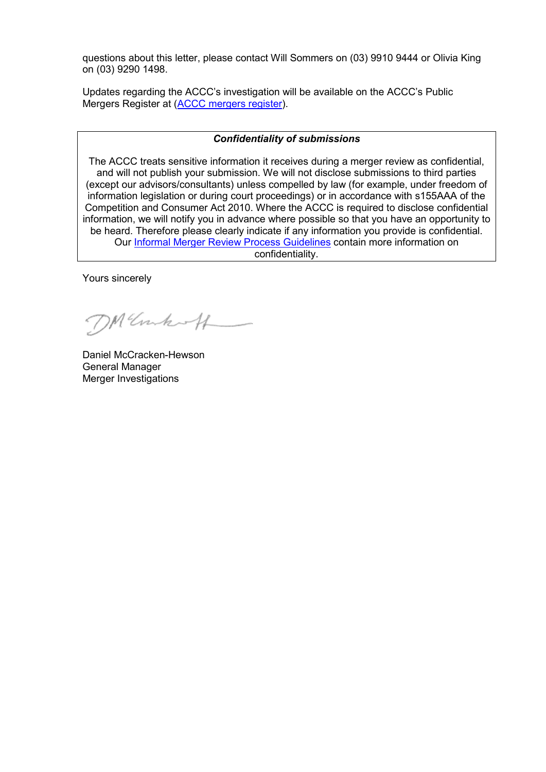questions about this letter, please contact Will Sommers on (03) 9910 9444 or Olivia King on (03) 9290 1498.

Updates regarding the ACCC's investigation will be available on the ACCC's Public Mergers Register at [\(ACCC mergers register\)](http://www.accc.gov.au/mergersregister).

#### *Confidentiality of submissions*

The ACCC treats sensitive information it receives during a merger review as confidential, and will not publish your submission. We will not disclose submissions to third parties (except our advisors/consultants) unless compelled by law (for example, under freedom of information legislation or during court proceedings) or in accordance with s155AAA of the Competition and Consumer Act 2010. Where the ACCC is required to disclose confidential information, we will notify you in advance where possible so that you have an opportunity to be heard. Therefore please clearly indicate if any information you provide is confidential. Our [Informal Merger Review Process Guidelines](https://www.accc.gov.au/publications/informal-merger-review-process-guidelines-2013) contain more information on confidentiality.

Yours sincerely

DM Unkoff

Daniel McCracken-Hewson General Manager Merger Investigations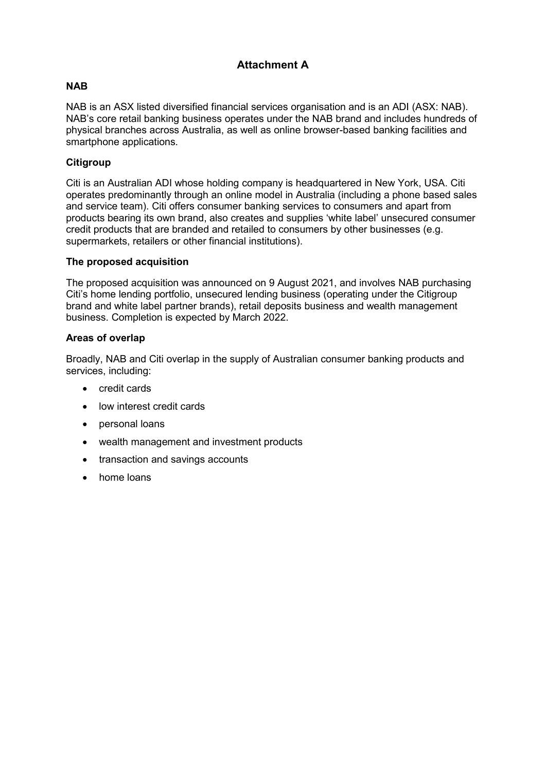# **Attachment A**

# **NAB**

NAB is an ASX listed diversified financial services organisation and is an ADI (ASX: NAB). NAB's core retail banking business operates under the NAB brand and includes hundreds of physical branches across Australia, as well as online browser-based banking facilities and smartphone applications.

## **Citigroup**

Citi is an Australian ADI whose holding company is headquartered in New York, USA. Citi operates predominantly through an online model in Australia (including a phone based sales and service team). Citi offers consumer banking services to consumers and apart from products bearing its own brand, also creates and supplies 'white label' unsecured consumer credit products that are branded and retailed to consumers by other businesses (e.g. supermarkets, retailers or other financial institutions).

### **The proposed acquisition**

The proposed acquisition was announced on 9 August 2021, and involves NAB purchasing Citi's home lending portfolio, unsecured lending business (operating under the Citigroup brand and white label partner brands), retail deposits business and wealth management business. Completion is expected by March 2022.

### **Areas of overlap**

Broadly, NAB and Citi overlap in the supply of Australian consumer banking products and services, including:

- credit cards
- low interest credit cards
- personal loans
- wealth management and investment products
- transaction and savings accounts
- home loans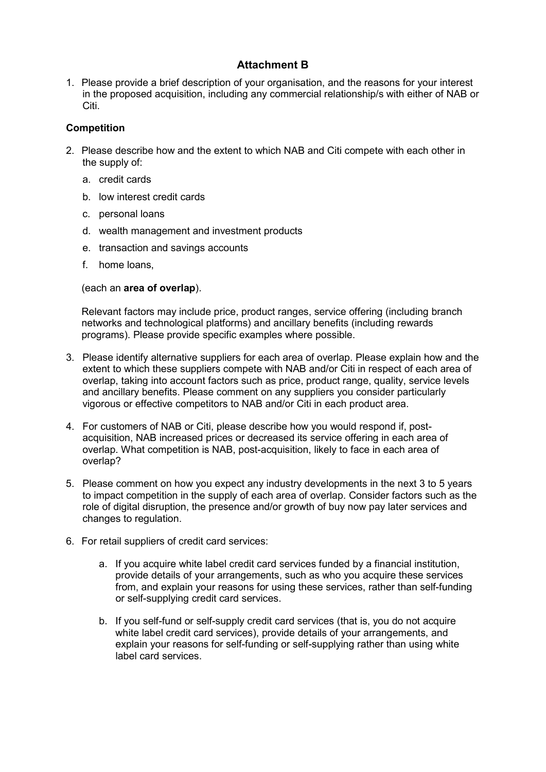# **Attachment B**

1. Please provide a brief description of your organisation, and the reasons for your interest in the proposed acquisition, including any commercial relationship/s with either of NAB or Citi.

## **Competition**

- 2. Please describe how and the extent to which NAB and Citi compete with each other in the supply of:
	- a. credit cards
	- b. low interest credit cards
	- c. personal loans
	- d. wealth management and investment products
	- e. transaction and savings accounts
	- f. home loans,

(each an **area of overlap**).

Relevant factors may include price, product ranges, service offering (including branch networks and technological platforms) and ancillary benefits (including rewards programs). Please provide specific examples where possible.

- 3. Please identify alternative suppliers for each area of overlap. Please explain how and the extent to which these suppliers compete with NAB and/or Citi in respect of each area of overlap, taking into account factors such as price, product range, quality, service levels and ancillary benefits. Please comment on any suppliers you consider particularly vigorous or effective competitors to NAB and/or Citi in each product area.
- 4. For customers of NAB or Citi, please describe how you would respond if, postacquisition, NAB increased prices or decreased its service offering in each area of overlap. What competition is NAB, post-acquisition, likely to face in each area of overlap?
- 5. Please comment on how you expect any industry developments in the next 3 to 5 years to impact competition in the supply of each area of overlap. Consider factors such as the role of digital disruption, the presence and/or growth of buy now pay later services and changes to regulation.
- 6. For retail suppliers of credit card services:
	- a. If you acquire white label credit card services funded by a financial institution, provide details of your arrangements, such as who you acquire these services from, and explain your reasons for using these services, rather than self-funding or self-supplying credit card services.
	- b. If you self-fund or self-supply credit card services (that is, you do not acquire white label credit card services), provide details of your arrangements, and explain your reasons for self-funding or self-supplying rather than using white label card services.